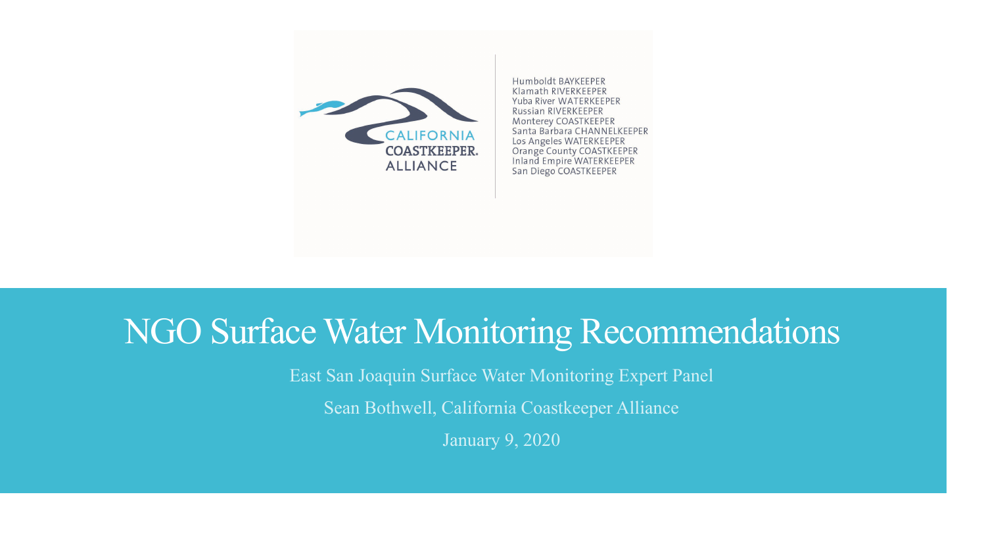

Humboldt BAYKEEPER Klamath RIVERKEEPER Yuba River WATERKEEPER Russian RIVERKEEPER Monterey COASTKEEPER Santa Barbara CHANNELKEEPER Los Angeles WATERKEEPER Orange County COASTKEEPER Inland Empire WATERKEEPER San Diego COASTKEEPER

#### NGO Surface Water Monitoring Recommendations

East San Joaquin Surface Water Monitoring Expert Panel

Sean Bothwell, California Coastkeeper Alliance

January 9, 2020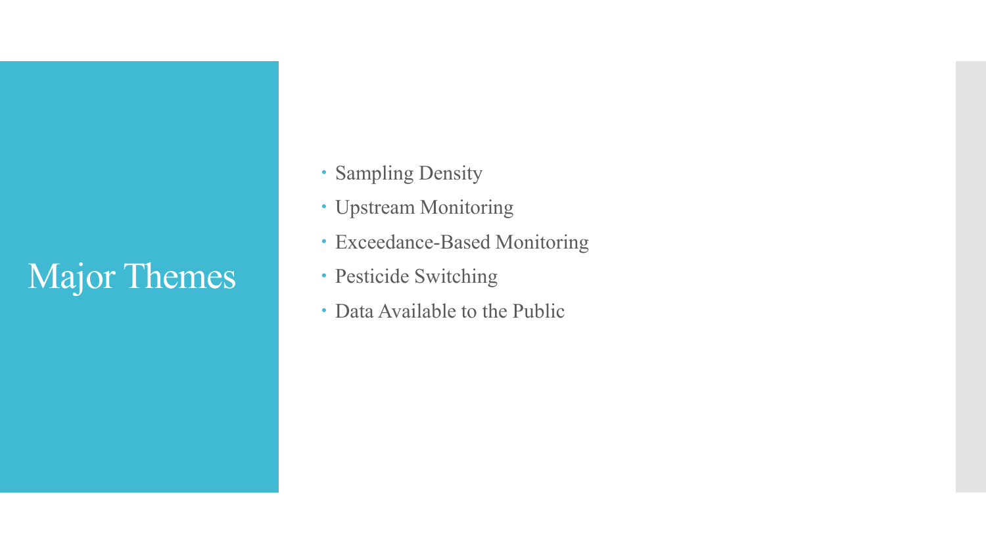# Major Themes

- Sampling Density
- Upstream Monitoring
- Exceedance-Based Monitoring
- Pesticide Switching
- Data Available to the Public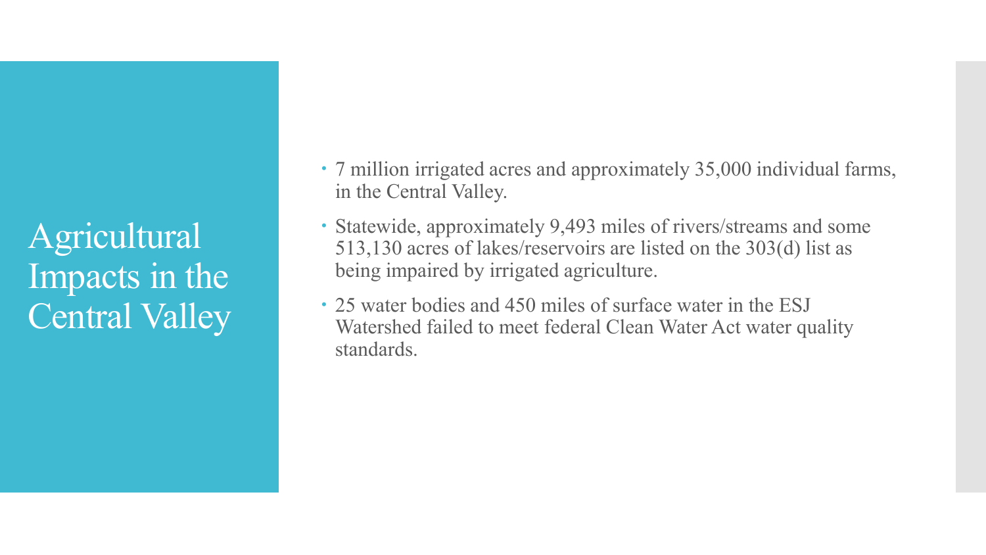Agricultural Impacts in the Central Valley

- 7 million irrigated acres and approximately 35,000 individual farms, in the Central Valley.
- Statewide, approximately 9,493 miles of rivers/streams and some 513,130 acres of lakes/reservoirs are listed on the 303(d) list as being impaired by irrigated agriculture.
- 25 water bodies and 450 miles of surface water in the ESJ Watershed failed to meet federal Clean Water Act water quality standards.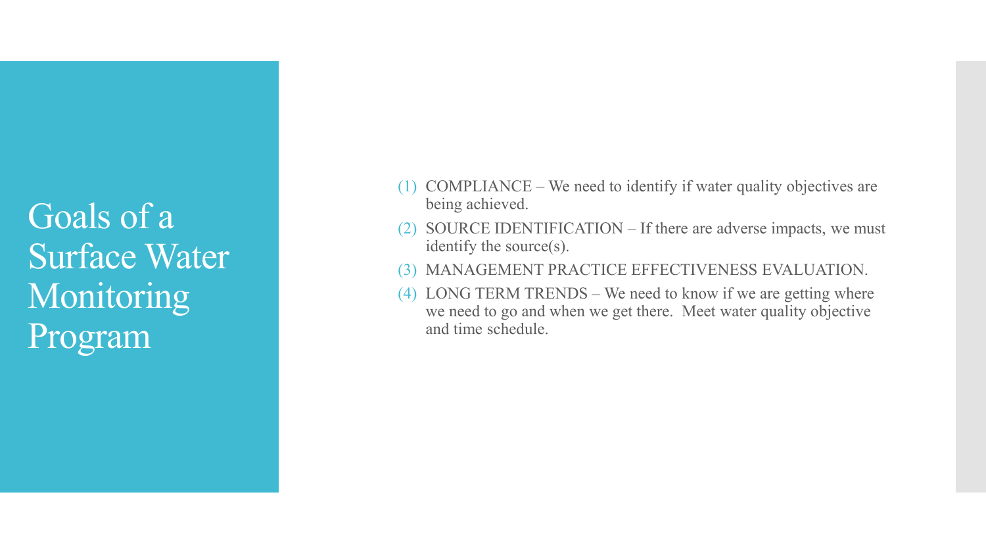Goals of a Surface Water Monitoring Program

- (1) COMPLIANCE We need to identify if water quality objectives are being achieved.
- (2) SOURCE IDENTIFICATION If there are adverse impacts, we must identify the source(s).
- (3) MANAGEMENT PRACTICE EFFECTIVENESS EVALUATION.
- (4) LONG TERM TRENDS We need to know if we are getting where we need to go and when we get there. Meet water quality objective and time schedule.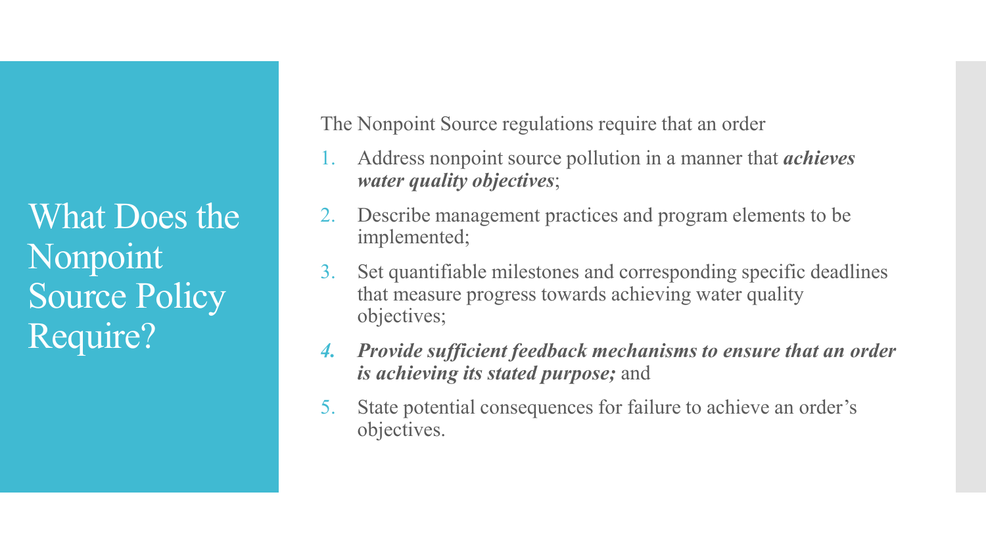What Does the Nonpoint Source Policy Require?

The Nonpoint Source regulations require that an order

- 1. Address nonpoint source pollution in a manner that *achieves water quality objectives*;
- 2. Describe management practices and program elements to be implemented;
- 3. Set quantifiable milestones and corresponding specific deadlines that measure progress towards achieving water quality objectives;
- *4. Provide sufficient feedback mechanisms to ensure that an order is achieving its stated purpose;* and
- 5. State potential consequences for failure to achieve an order's objectives.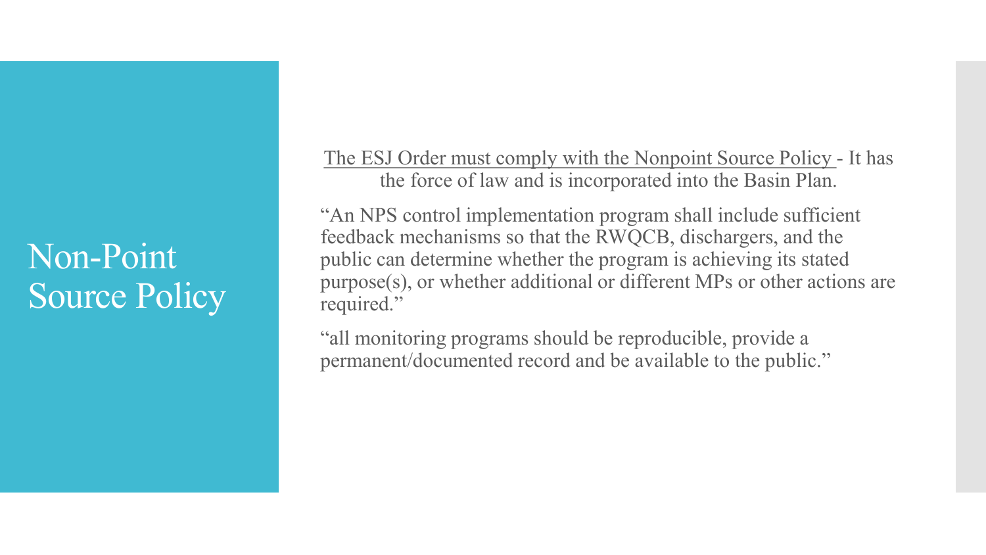### Non-Point Source Policy

The ESJ Order must comply with the Nonpoint Source Policy - It has the force of law and is incorporated into the Basin Plan.

"An NPS control implementation program shall include sufficient feedback mechanisms so that the RWQCB, dischargers, and the public can determine whether the program is achieving its stated purpose(s), or whether additional or different MPs or other actions are required."

"all monitoring programs should be reproducible, provide a permanent/documented record and be available to the public."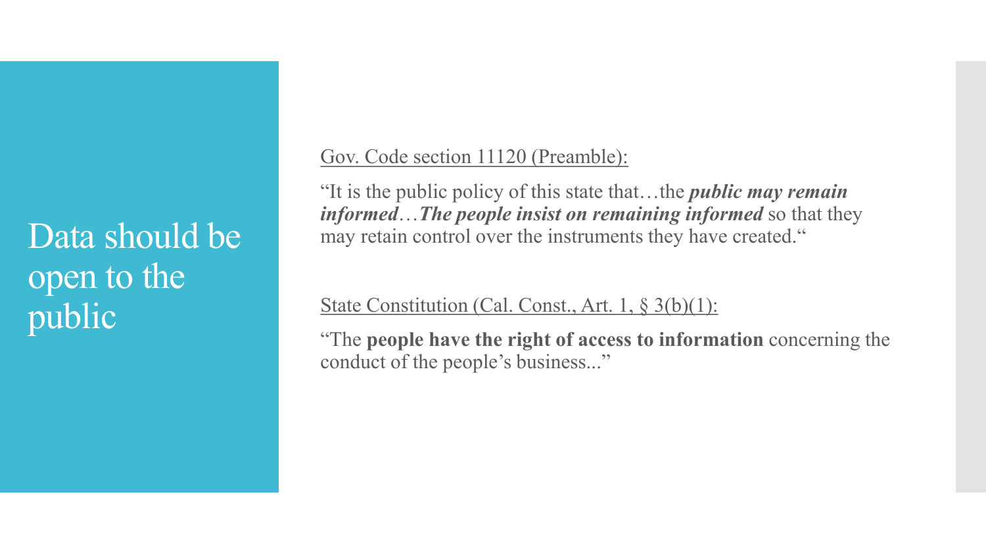Data should be open to the public

Gov. Code section 11120 (Preamble):

"It is the public policy of this state that…the *public may remain informed*…*The people insist on remaining informed* so that they may retain control over the instruments they have created."

State Constitution (Cal. Const., Art. 1, § 3(b)(1):

"The **people have the right of access to information** concerning the conduct of the people's business..."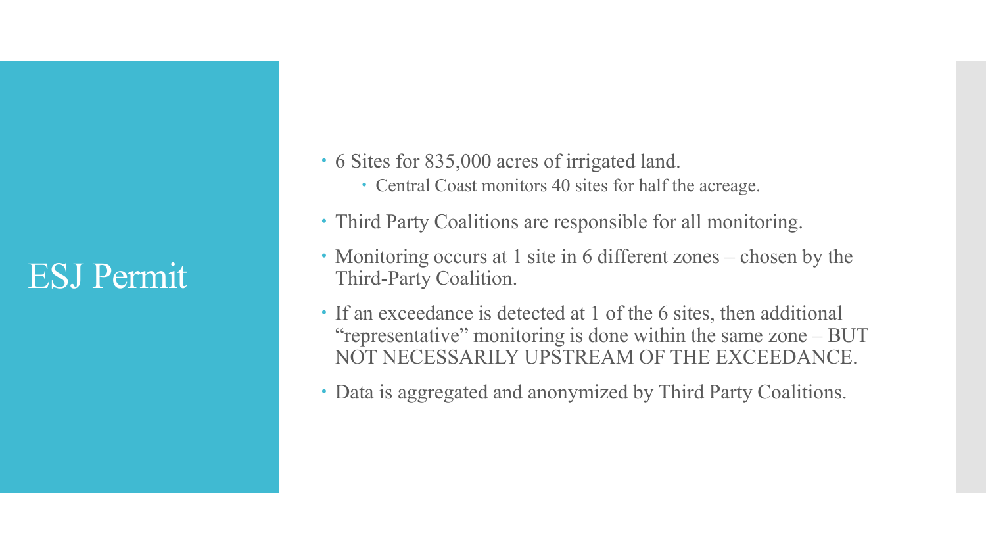#### ESJ Permit

- 6 Sites for 835,000 acres of irrigated land.
	- Central Coast monitors 40 sites for half the acreage.
- Third Party Coalitions are responsible for all monitoring.
- Monitoring occurs at 1 site in 6 different zones chosen by the Third-Party Coalition.
- If an exceedance is detected at 1 of the 6 sites, then additional "representative" monitoring is done within the same zone – BUT NOT NECESSARILY UPSTREAM OF THE EXCEEDANCE.
- Data is aggregated and anonymized by Third Party Coalitions.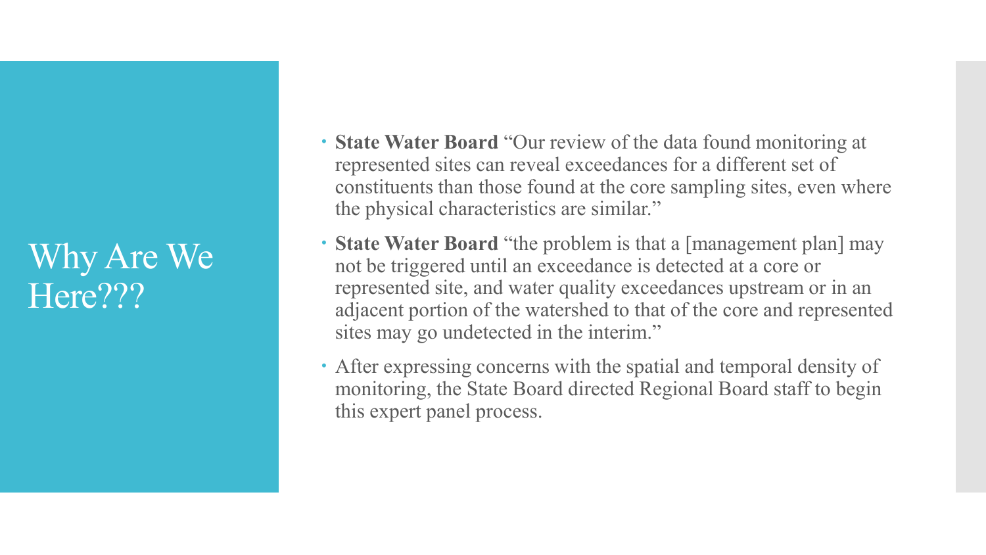#### Why Are We Here???

- **State Water Board** "Our review of the data found monitoring at represented sites can reveal exceedances for a different set of constituents than those found at the core sampling sites, even where the physical characteristics are similar."
- **State Water Board** "the problem is that a [management plan] may not be triggered until an exceedance is detected at a core or represented site, and water quality exceedances upstream or in an adjacent portion of the watershed to that of the core and represented sites may go undetected in the interim."
- After expressing concerns with the spatial and temporal density of monitoring, the State Board directed Regional Board staff to begin this expert panel process.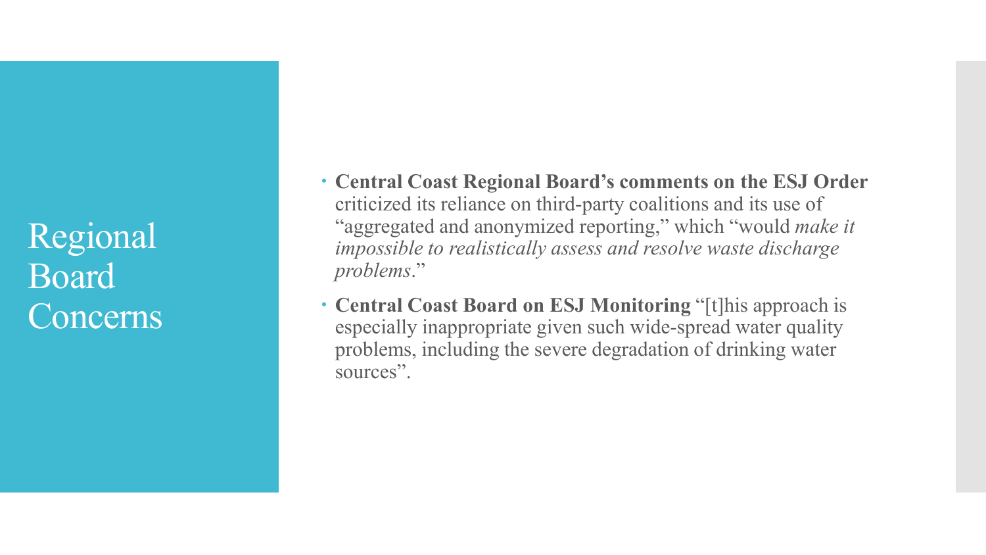Regional Board Concerns

- **Central Coast Regional Board's comments on the ESJ Order**  criticized its reliance on third-party coalitions and its use of "aggregated and anonymized reporting," which "would *make it impossible to realistically assess and resolve waste discharge problems*."
- **Central Coast Board on ESJ Monitoring** "[t]his approach is especially inappropriate given such wide-spread water quality problems, including the severe degradation of drinking water sources".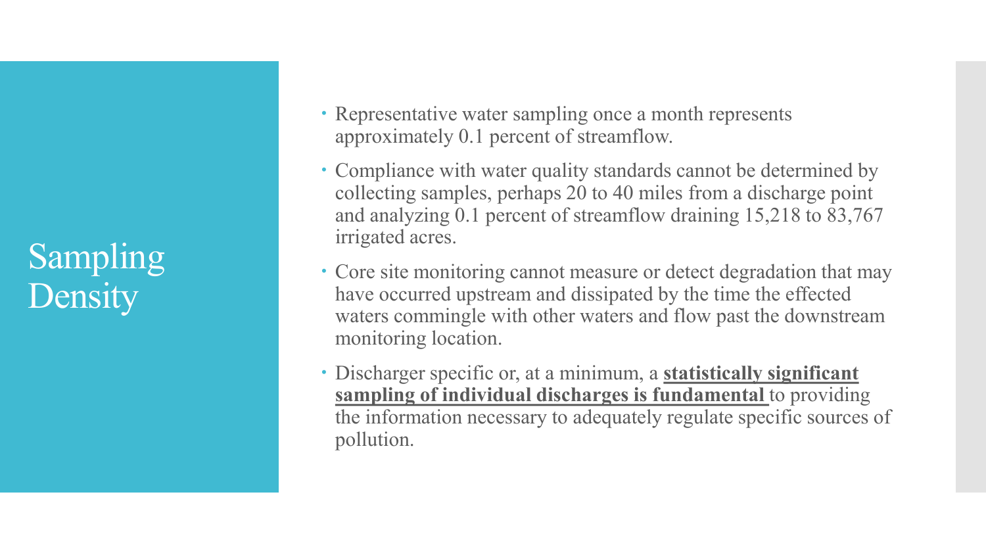## Sampling **Density**

- Representative water sampling once a month represents approximately 0.1 percent of streamflow.
- Compliance with water quality standards cannot be determined by collecting samples, perhaps 20 to 40 miles from a discharge point and analyzing 0.1 percent of streamflow draining 15,218 to 83,767 irrigated acres.
- Core site monitoring cannot measure or detect degradation that may have occurred upstream and dissipated by the time the effected waters commingle with other waters and flow past the downstream monitoring location.
- Discharger specific or, at a minimum, a **statistically significant sampling of individual discharges is fundamental** to providing the information necessary to adequately regulate specific sources of pollution.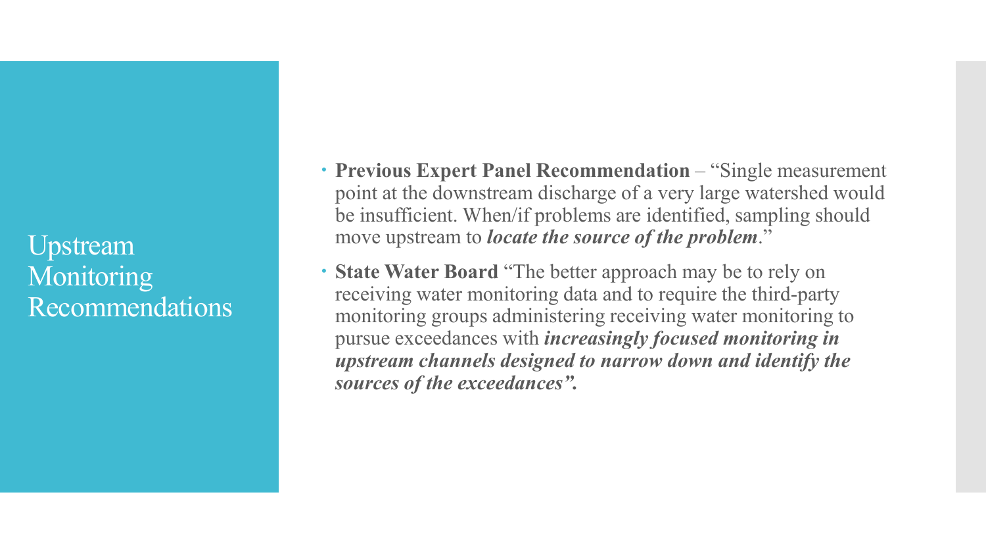Upstream **Monitoring** Recommendations  **Previous Expert Panel Recommendation** – "Single measurement point at the downstream discharge of a very large watershed would be insufficient. When/if problems are identified, sampling should move upstream to *locate the source of the problem*."

 **State Water Board** "The better approach may be to rely on receiving water monitoring data and to require the third-party monitoring groups administering receiving water monitoring to pursue exceedances with *increasingly focused monitoring in upstream channels designed to narrow down and identify the sources of the exceedances".*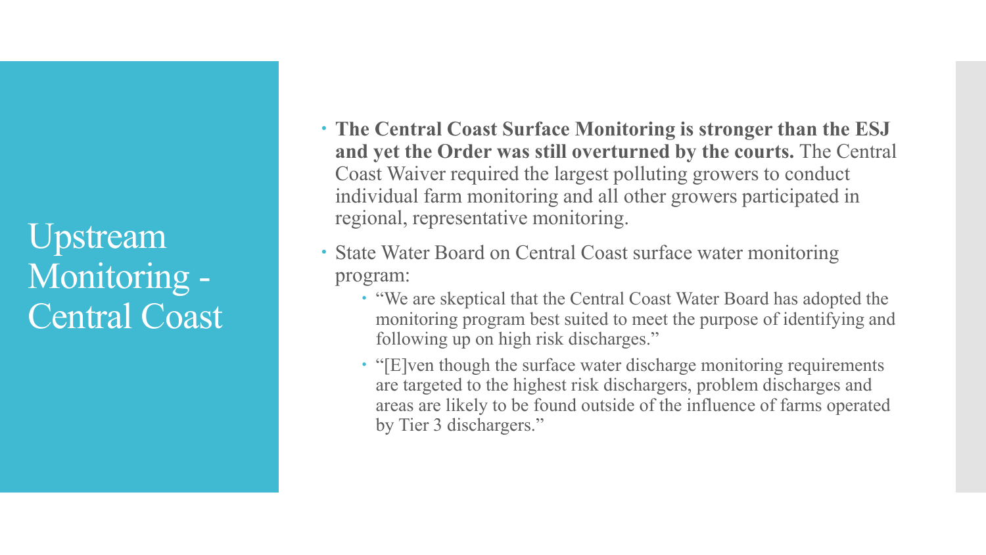Upstream Monitoring - Central Coast

- **The Central Coast Surface Monitoring is stronger than the ESJ and yet the Order was still overturned by the courts.** The Central Coast Waiver required the largest polluting growers to conduct individual farm monitoring and all other growers participated in regional, representative monitoring.
- State Water Board on Central Coast surface water monitoring program:
	- "We are skeptical that the Central Coast Water Board has adopted the monitoring program best suited to meet the purpose of identifying and following up on high risk discharges."
	- "[E]ven though the surface water discharge monitoring requirements are targeted to the highest risk dischargers, problem discharges and areas are likely to be found outside of the influence of farms operated by Tier 3 dischargers."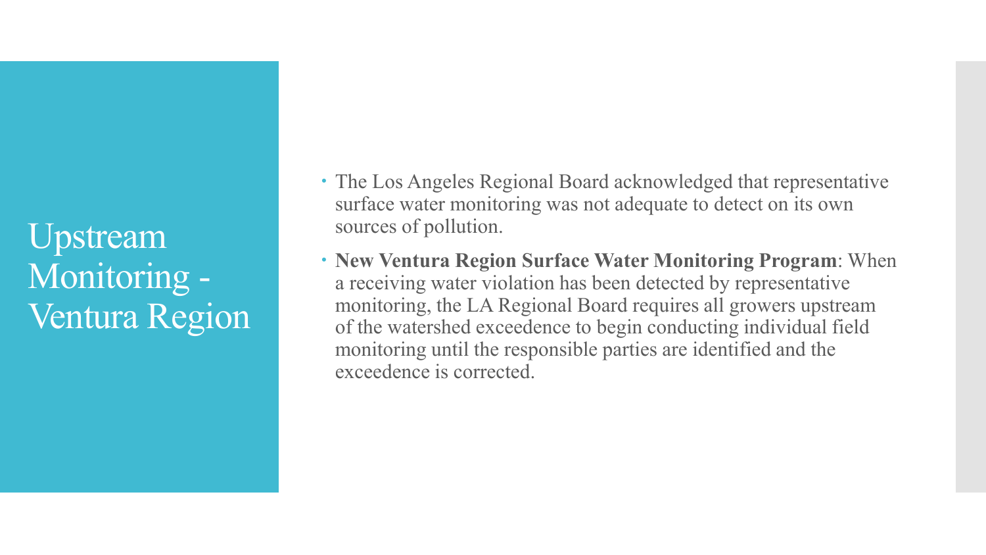Upstream Monitoring - Ventura Region

- The Los Angeles Regional Board acknowledged that representative surface water monitoring was not adequate to detect on its own sources of pollution.
- **New Ventura Region Surface Water Monitoring Program**: When a receiving water violation has been detected by representative monitoring, the LA Regional Board requires all growers upstream of the watershed exceedence to begin conducting individual field monitoring until the responsible parties are identified and the exceedence is corrected.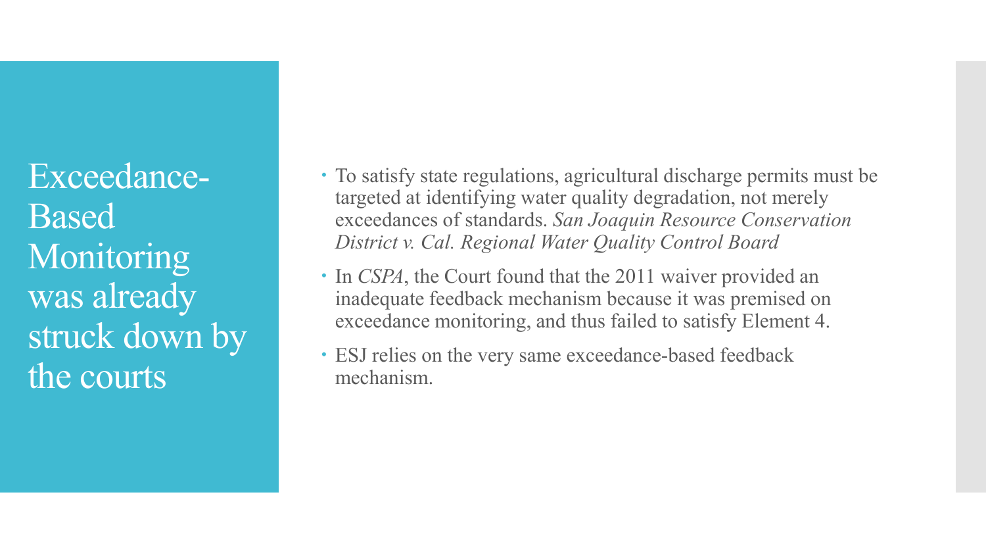Exceedance-**Based** Monitoring was already struck down by the courts

- To satisfy state regulations, agricultural discharge permits must be targeted at identifying water quality degradation, not merely exceedances of standards. *San Joaquin Resource Conservation District v. Cal. Regional Water Quality Control Board*
- In *CSPA*, the Court found that the 2011 waiver provided an inadequate feedback mechanism because it was premised on exceedance monitoring, and thus failed to satisfy Element 4.
- ESJ relies on the very same exceedance-based feedback mechanism.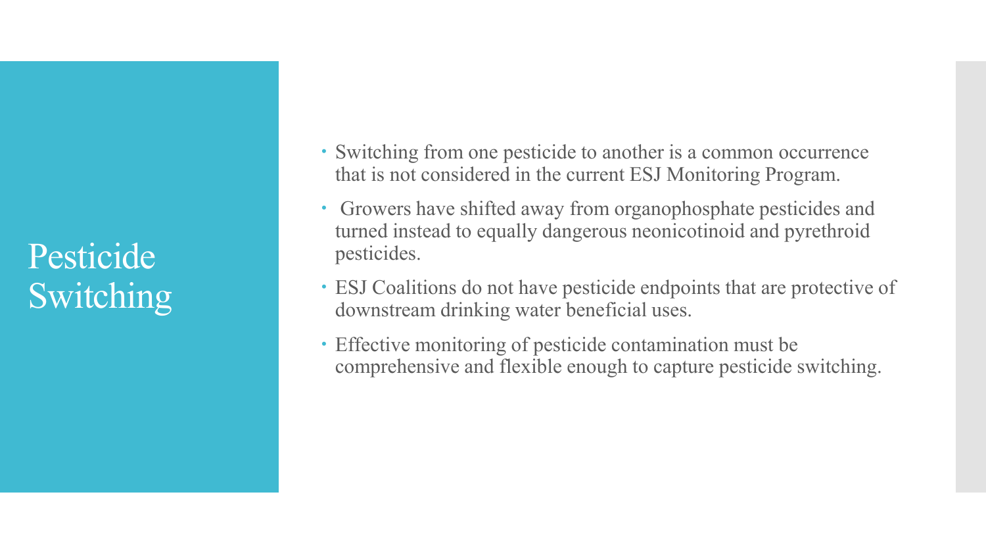Pesticide Switching

- Switching from one pesticide to another is a common occurrence that is not considered in the current ESJ Monitoring Program.
- Growers have shifted away from organophosphate pesticides and turned instead to equally dangerous neonicotinoid and pyrethroid pesticides.
- ESJ Coalitions do not have pesticide endpoints that are protective of downstream drinking water beneficial uses.
- Effective monitoring of pesticide contamination must be comprehensive and flexible enough to capture pesticide switching.